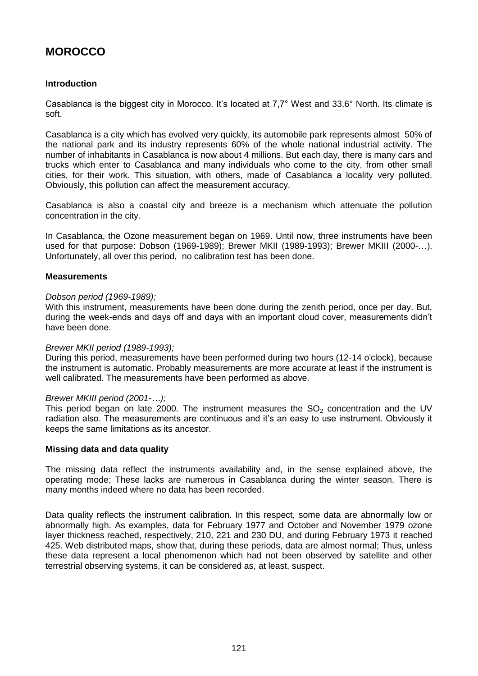# **MOROCCO**

# **Introduction**

Casablanca is the biggest city in Morocco. It's located at 7,7° West and 33,6° North. Its climate is soft.

Casablanca is a city which has evolved very quickly, its automobile park represents almost 50% of the national park and its industry represents 60% of the whole national industrial activity. The number of inhabitants in Casablanca is now about 4 millions. But each day, there is many cars and trucks which enter to Casablanca and many individuals who come to the city, from other small cities, for their work. This situation, with others, made of Casablanca a locality very polluted. Obviously, this pollution can affect the measurement accuracy.

Casablanca is also a coastal city and breeze is a mechanism which attenuate the pollution concentration in the city.

In Casablanca, the Ozone measurement began on 1969. Until now, three instruments have been used for that purpose: Dobson (1969-1989); Brewer MKII (1989-1993); Brewer MKIII (2000-…). Unfortunately, all over this period, no calibration test has been done.

# **Measurements**

## *Dobson period (1969-1989);*

With this instrument, measurements have been done during the zenith period, once per day. But, during the week-ends and days off and days with an important cloud cover, measurements didn't have been done.

## *Brewer MKII period (1989-1993);*

During this period, measurements have been performed during two hours (12-14 o'clock), because the instrument is automatic. Probably measurements are more accurate at least if the instrument is well calibrated. The measurements have been performed as above.

## *Brewer MKIII period (2001-…);*

This period began on late 2000. The instrument measures the  $SO<sub>2</sub>$  concentration and the UV radiation also. The measurements are continuous and it's an easy to use instrument. Obviously it keeps the same limitations as its ancestor.

# **Missing data and data quality**

The missing data reflect the instruments availability and, in the sense explained above, the operating mode; These lacks are numerous in Casablanca during the winter season. There is many months indeed where no data has been recorded.

Data quality reflects the instrument calibration. In this respect, some data are abnormally low or abnormally high. As examples, data for February 1977 and October and November 1979 ozone layer thickness reached, respectively, 210, 221 and 230 DU, and during February 1973 it reached 425. Web distributed maps, show that, during these periods, data are almost normal; Thus, unless these data represent a local phenomenon which had not been observed by satellite and other terrestrial observing systems, it can be considered as, at least, suspect.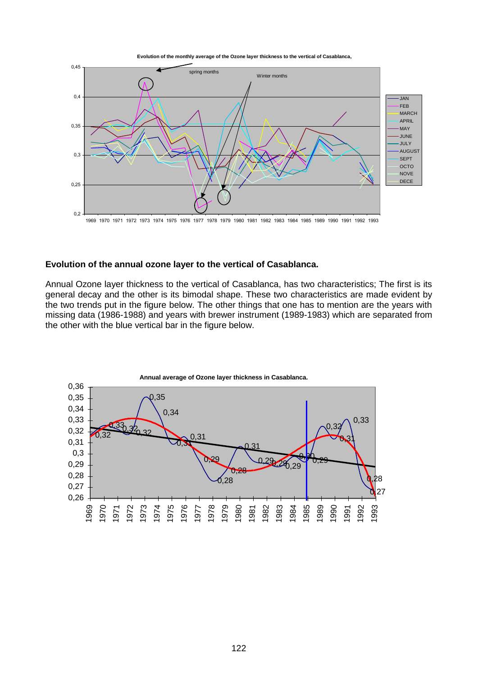**Evolution of the monthly average of the Ozone layer thickness to the vertical of Casablanca,**



#### **Evolution of the annual ozone layer to the vertical of Casablanca.**

Annual Ozone layer thickness to the vertical of Casablanca, has two characteristics; The first is its general decay and the other is its bimodal shape. These two characteristics are made evident by the two trends put in the figure below. The other things that one has to mention are the years with missing data (1986-1988) and years with brewer instrument (1989-1983) which are separated from the other with the blue vertical bar in the figure below.

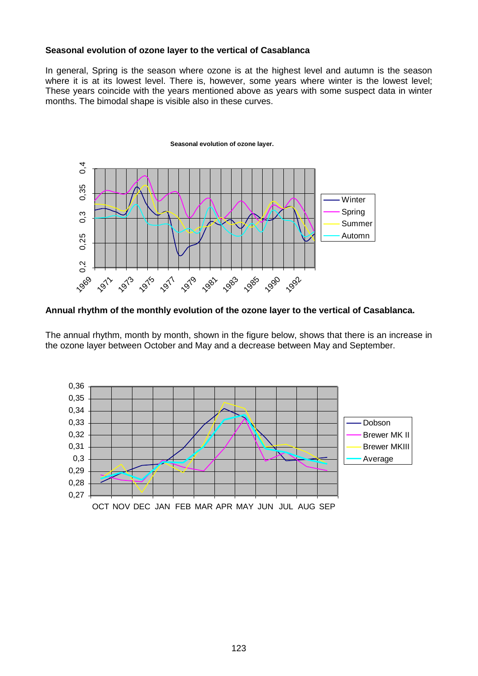## **Seasonal evolution of ozone layer to the vertical of Casablanca**

In general, Spring is the season where ozone is at the highest level and autumn is the season where it is at its lowest level. There is, however, some years where winter is the lowest level; These years coincide with the years mentioned above as years with some suspect data in winter months. The bimodal shape is visible also in these curves.



## **Annual rhythm of the monthly evolution of the ozone layer to the vertical of Casablanca.**

The annual rhythm, month by month, shown in the figure below, shows that there is an increase in the ozone layer between October and May and a decrease between May and September.